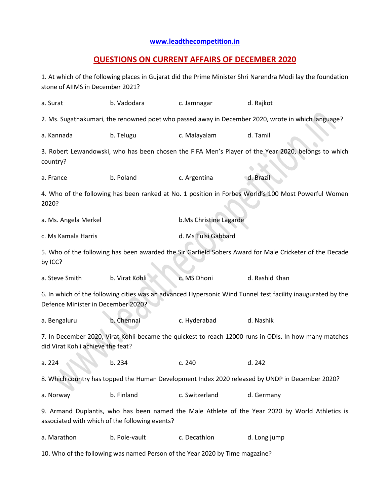## **[www.leadthecompetition.in](http://www.leadthecompetition.in/)**

## **QUESTIONS ON CURRENT AFFAIRS OF DECEMBER 2020**

1. At which of the following places in Gujarat did the Prime Minister Shri Narendra Modi lay the foundation stone of AIIMS in December 2021?

| a. Surat                                                                                                                                          | b. Vadodara    | c. Jamnagar            | d. Rajkot      |  |  |  |  |  |
|---------------------------------------------------------------------------------------------------------------------------------------------------|----------------|------------------------|----------------|--|--|--|--|--|
| 2. Ms. Sugathakumari, the renowned poet who passed away in December 2020, wrote in which language?                                                |                |                        |                |  |  |  |  |  |
| a. Kannada                                                                                                                                        | b. Telugu      | c. Malayalam           | d. Tamil       |  |  |  |  |  |
| 3. Robert Lewandowski, who has been chosen the FIFA Men's Player of the Year 2020, belongs to which<br>country?                                   |                |                        |                |  |  |  |  |  |
| a. France                                                                                                                                         | b. Poland      | c. Argentina           | d. Brazil      |  |  |  |  |  |
| 4. Who of the following has been ranked at No. 1 position in Forbes World's 100 Most Powerful Women<br>2020?                                      |                |                        |                |  |  |  |  |  |
| a. Ms. Angela Merkel                                                                                                                              |                | b.Ms Christine Lagarde |                |  |  |  |  |  |
| c. Ms Kamala Harris                                                                                                                               |                | d. Ms Tulsi Gabbard    |                |  |  |  |  |  |
| 5. Who of the following has been awarded the Sir Garfield Sobers Award for Male Cricketer of the Decade<br>by ICC?                                |                |                        |                |  |  |  |  |  |
| a. Steve Smith                                                                                                                                    | b. Virat Kohli | c. MS Dhoni            | d. Rashid Khan |  |  |  |  |  |
| 6. In which of the following cities was an advanced Hypersonic Wind Tunnel test facility inaugurated by the<br>Defence Minister in December 2020? |                |                        |                |  |  |  |  |  |
| a. Bengaluru                                                                                                                                      | b. Chennai     | c. Hyderabad           | d. Nashik      |  |  |  |  |  |
| 7. In December 2020, Virat Kohli became the quickest to reach 12000 runs in ODIs. In how many matches<br>did Virat Kohli achieve the feat?        |                |                        |                |  |  |  |  |  |
| a. 224                                                                                                                                            | b. 234         | c. 240                 | d. 242         |  |  |  |  |  |
| 8. Which country has topped the Human Development Index 2020 released by UNDP in December 2020?                                                   |                |                        |                |  |  |  |  |  |
| a. Norway                                                                                                                                         | b. Finland     | c. Switzerland         | d. Germany     |  |  |  |  |  |
| 9. Armand Duplantis, who has been named the Male Athlete of the Year 2020 by World Athletics is<br>associated with which of the following events? |                |                        |                |  |  |  |  |  |
| a. Marathon                                                                                                                                       | b. Pole-vault  | c. Decathlon           | d. Long jump   |  |  |  |  |  |
| 10. Who of the following was named Person of the Year 2020 by Time magazine?                                                                      |                |                        |                |  |  |  |  |  |